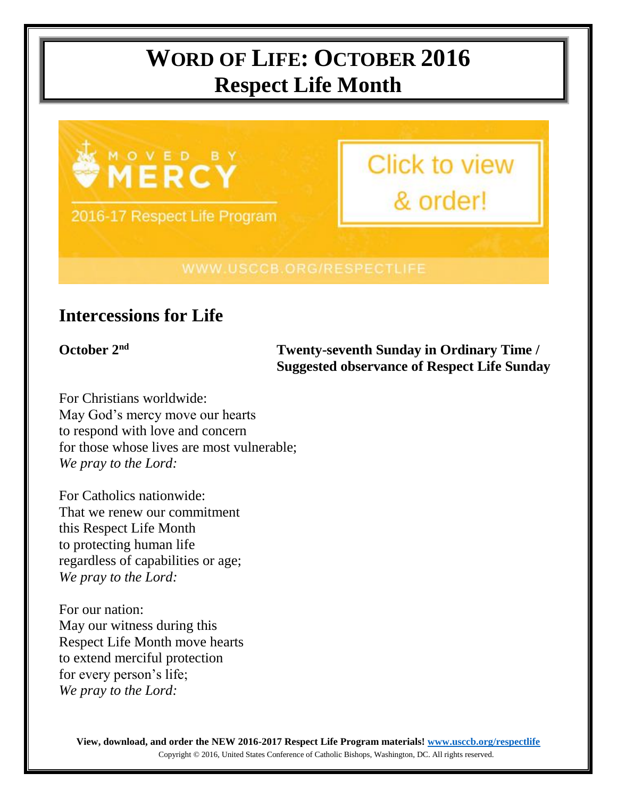# **WORD OF LIFE: OCTOBER 2016 Respect Life Month**



# **Intercessions for Life**

**October 2nd Twenty-seventh Sunday in Ordinary Time / Suggested observance of Respect Life Sunday**

For Christians worldwide: May God's mercy move our hearts to respond with love and concern for those whose lives are most vulnerable; *We pray to the Lord:*

For Catholics nationwide: That we renew our commitment this Respect Life Month to protecting human life regardless of capabilities or age; *We pray to the Lord:*

For our nation: May our witness during this Respect Life Month move hearts to extend merciful protection for every person's life; *We pray to the Lord:*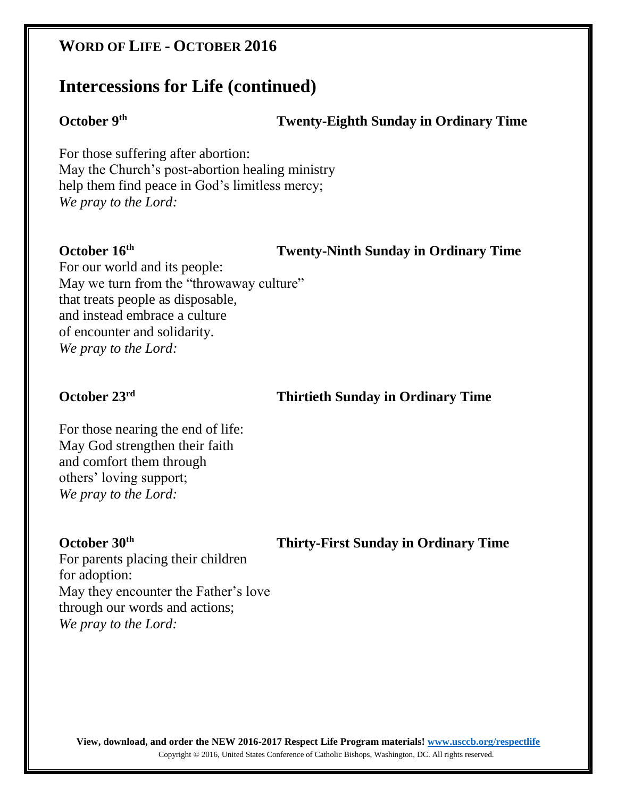## **WORD OF LIFE - OCTOBER 2016**

## **Intercessions for Life (continued)**

### **October 9th**

### **Twenty-Eighth Sunday in Ordinary Time**

For those suffering after abortion: May the Church's post-abortion healing ministry help them find peace in God's limitless mercy; *We pray to the Lord:*

### **October 16th**

### **Twenty-Ninth Sunday in Ordinary Time**

For our world and its people: May we turn from the "throwaway culture" that treats people as disposable, and instead embrace a culture of encounter and solidarity. *We pray to the Lord:*

### **October 23rd**

### **Thirtieth Sunday in Ordinary Time**

For those nearing the end of life: May God strengthen their faith and comfort them through others' loving support; *We pray to the Lord:*

### **October 30th**

 **Thirty-First Sunday in Ordinary Time**

For parents placing their children for adoption: May they encounter the Father's love through our words and actions; *We pray to the Lord:*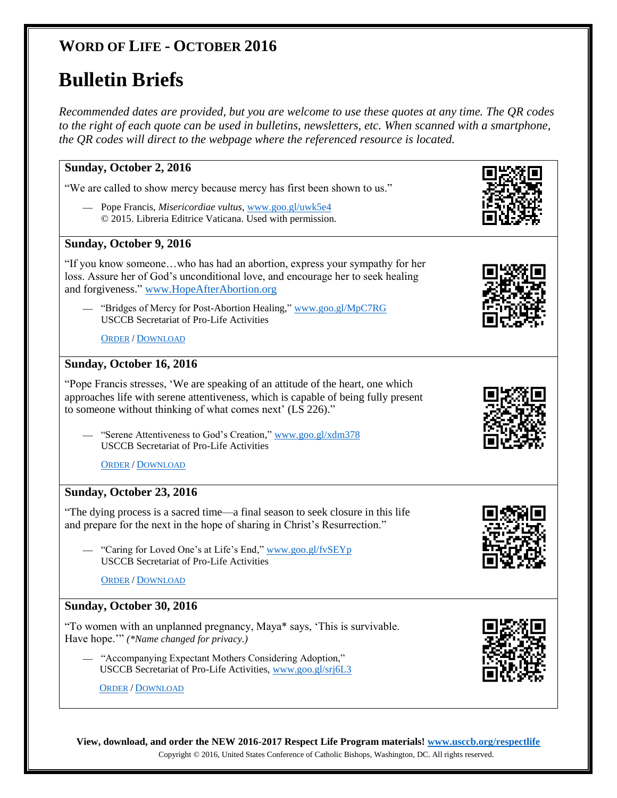# **WORD OF LIFE - OCTOBER 2016**

# **Bulletin Briefs**

*Recommended dates are provided, but you are welcome to use these quotes at any time. The QR codes to the right of each quote can be used in bulletins, newsletters, etc. When scanned with a smartphone, the QR codes will direct to the webpage where the referenced resource is located.*

### **Sunday, October 2, 2016**

"We are called to show mercy because mercy has first been shown to us."

— Pope Francis, *Misericordiae vultus*, [www.goo.gl/uwk5e4](http://www.goo.gl/uwk5e4) © 2015. Libreria Editrice Vaticana. Used with permission.

#### **Sunday, October 9, 2016**

"If you know someone…who has had an abortion, express your sympathy for her loss. Assure her of God's unconditional love, and encourage her to seek healing and forgiveness." [www.HopeAfterAbortion.org](http://www.hopeafterabortion.org/)

— "Bridges of Mercy for Post-Abortion Healing," [www.goo.gl/MpC7RG](http://www.goo.gl/MpC7RG) USCCB Secretariat of Pro-Life Activities

O[RDER](http://store.usccb.org/Bridges-of-Mercy-for-Post-Abortion-Healing-p/c1641.htm) / D[OWNLOAD](http://www.usccb.org/about/pro-life-activities/respect-life-program/2016/upload/rlp-16-flyer-bridges-of-mercy-for-post-abortion-healing.pdf)

#### **Sunday, October 16, 2016**

"Pope Francis stresses, 'We are speaking of an attitude of the heart, one which approaches life with serene attentiveness, which is capable of being fully present to someone without thinking of what comes next' (LS 226)."

— "Serene Attentiveness to God's Creation," [www.goo.gl/xdm378](http://www.goo.gl/xdm378) USCCB Secretariat of Pro-Life Activities

O[RDER](http://store.usccb.org/Serene-Attentiveness-to-God-s-Creation-p/c1645.htm) / D[OWNLOAD](http://www.usccb.org/about/pro-life-activities/respect-life-program/2016/upload/rlp-16-flyer-serene-attentiveness-to-god-s-creation.pdf)

### **Sunday, October 23, 2016**

"The dying process is a sacred time—a final season to seek closure in this life and prepare for the next in the hope of sharing in Christ's Resurrection."

— "Caring for Loved One's at Life's End," [www.goo.gl/fvSEYp](http://www.goo.gl/fvSEYp) USCCB Secretariat of Pro-Life Activities

O[RDER](http://store.usccb.org/Caring-for-Loved-Ones-at-Life-s-End-p/c1642.htm) / D[OWNLOAD](http://www.usccb.org/about/pro-life-activities/respect-life-program/2016/upload/rlp-16-flyer-caring-for-loved-ones-at-life-s-end.pdf)

### **Sunday, October 30, 2016**

"To women with an unplanned pregnancy, Maya\* says, 'This is survivable. Have hope.'" *(\*Name changed for privacy.)*

— "Accompanying Expectant Mothers Considering Adoption," USCCB Secretariat of Pro-Life Activities[, www.goo.gl/srj6L3](http://www.goo.gl/srj6L3)

O[RDER](http://store.usccb.org/Expectant-Mothers-Considering-Adoption-p/c1646.htm) / D[OWNLOAD](http://www.usccb.org/about/pro-life-activities/respect-life-program/2016/upload/rlp-16-flyer-accompanying-expectant-mothers-considering-adoption.pdf)